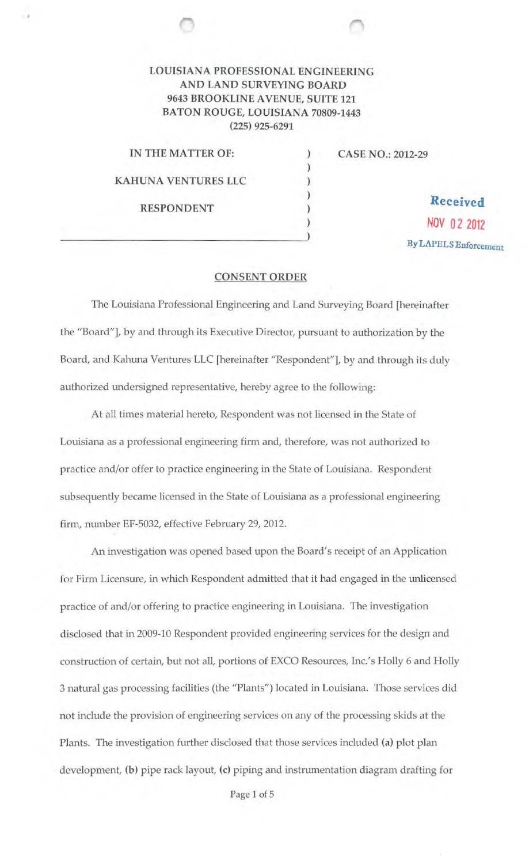## LOUISIANA PROFESSIONAL ENGINEERING AND LAND SURVEYING BOARD 9643 BROOKLINE AVENUE, SUITE 121 BATON ROUGE, LOUISIANA 70809-1443 (225) 925-6291

) ) ) ) )

IN THE MATTER OF: KAHUNA VENTURES LLC RESPONDENT

CASE NO.: 2012-29

Received  $)$  NOV 0 2 2012 By LAPELS Enforcement

## CONSENT ORDER

The Louisiana Professional Engineering and Land Surveying Board [hereinafter the ''Board"], by and through its Executive Director, pursuant to authorization by the Board, and Kahuna Ventures LLC [hereinafter "Respondent"], by and through its duly authorized undersigned representative, hereby agree to the following:

At all times material hereto, Respondent was not licensed in the State of Louisiana as a professional engineering firm and, therefore, was not authorized to practice and/or offer to practice engineering in the State of Louisiana. Respondent subsequently became licensed in the State of Louisiana as a professional engineering firm, number EF-5032, effective February 29, 2012.

An investigation was opened based upon the Board's receipt of an Application for Firm Licensure, in which Respondent admitted that it had engaged in the unlicensed practice of and/or offering to practice engineering in Louisiana. The investigation disclosed that in 2009-10 Respondent provided engineering services for the design and construction of certain, but not all, portions of EXCO Resources, Inc.'s Holly 6 and Holly 3 natural gas processing facilities (the "Plants") located in Louisiana. Those services did not include the provision of engineering services on any of the processing skids at the Plants. The investigation further disclosed that those services included (a) plot plan development, (b) pipe rack layout, (c) piping and instrumentation diagram drafting for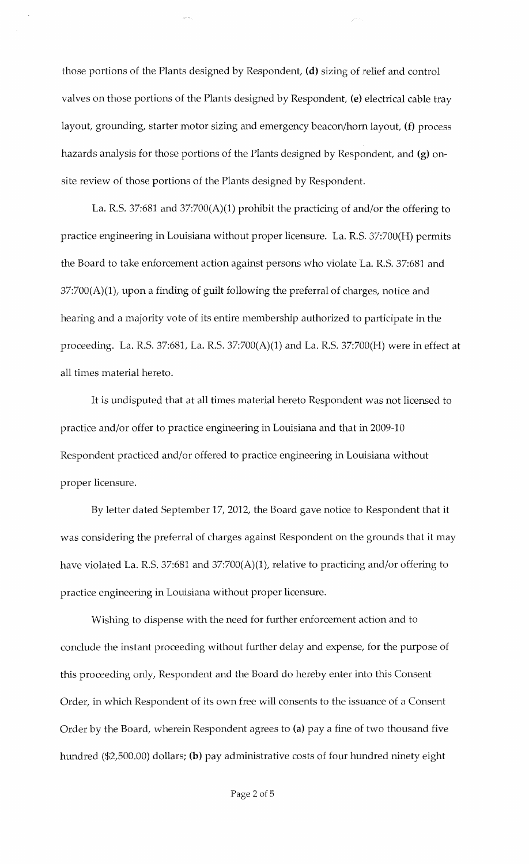those portions of the Plants designed by Respondent, (d) sizing of relief and control valves on those portions of the Plants designed by Respondent, (e) electrical cable tray layout, grounding, starter motor sizing and emergency beacon/horn layout, (f) process hazards analysis for those portions of the Plants designed by Respondent, and (g) onsite review of those portions of the Plants designed by Respondent.

La. R.S. 37:681 and 37:700(A)(1) prohibit the practicing of and/or the offering to practice engineering in Louisiana without proper licensure. La. R.S. 37:700(H) permits the Board to take enforcement action against persons who violate La. R.S. 37:681 and 37:700(A)(1), upon a finding of guilt following the preferral of charges, notice and hearing and a majority vote of its entire membership authorized to participate in the proceeding. La. R.S. 37:681, La. R.S. 37:700(A)(1) and La. R.S. 37:700(H) were in effect at all times material hereto.

It is undisputed that at all times material hereto Respondent was not licensed to practice and/or offer to practice engineering in Louisiana and that in 2009-10 Respondent practiced and/or offered to practice engineering in Louisiana without proper licensure.

By letter dated September 17, 2012, the Board gave notice to Respondent that it was considering the preferral of charges against Respondent on the grounds that it may have violated La. R.S. 37:681 and 37:700(A)(1), relative to practicing and/or offering to practice engineering in Louisiana without proper licensure.

Wishing to dispense with the need for further enforcement action and to conclude the instant proceeding without further delay and expense, for the purpose of this proceeding only, Respondent and the Board do hereby enter into this Consent Order, in which Respondent of its own free will consents to the issuance of a Consent Order by the Board, wherein Respondent agrees to (a) pay a fine of two thousand five hundred (\$2,500.00) dollars; (b) pay administrative costs of four hundred ninety eight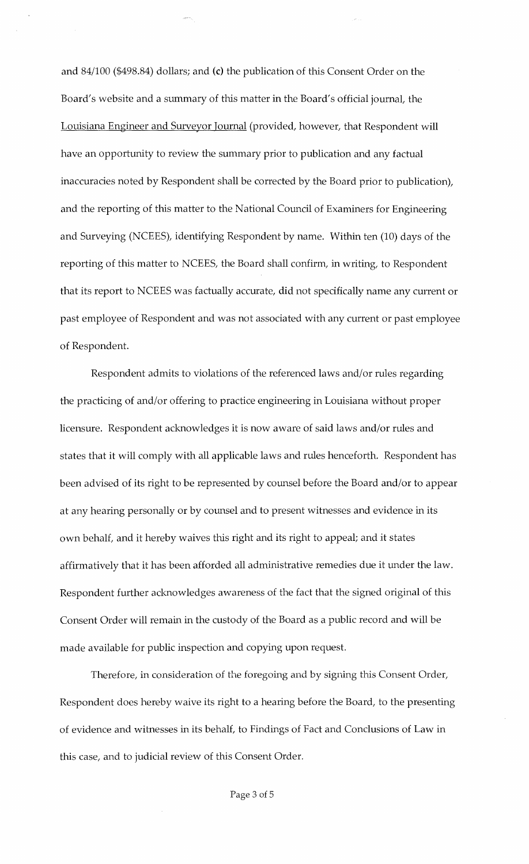and 84/100 (\$498.84) dollars; and (c) the publication of this Consent Order on the Board's website and a summary of this matter in the Board's official journal, the Louisiana Engineer and Surveyor Journal (provided, however, that Respondent will have an opportunity to review the summary prior to publication and any factual inaccuracies noted by Respondent shall be corrected by the Board prior to publication), and the reporting of this matter to the National Council of Examiners for Engineering and Surveying (NCEES), identifying Respondent by name. Within ten (10) days of the reporting of this matter to NCEES, the Board shall confirm, in writing, to Respondent that its report to NCEES was factually accurate, did not specifically name any current or past employee of Respondent and was not associated with any current or past employee of Respondent.

Respondent admits to violations of the referenced laws and/or rules regarding the practicing of and/or offering to practice engineering in Louisiana without proper licensure. Respondent acknowledges it is now aware of said laws and/or rules and states that it will comply with all applicable laws and rules henceforth. Respondent has been advised of its right to be represented by counsel before the Board and/or to appear at any hearing personally or by counsel and to present witnesses and evidence in its own behalf, and it hereby waives this right and its right to appeal; and it states affirmatively that it has been afforded all administrative remedies due it under the law. Respondent further acknowledges awareness of the fact that the signed original of this Consent Order will remain in the custody of the Board as a public record and will be made available for public inspection and copying upon request.

Therefore, in consideration of the foregoing and by signing this Consent Order, Respondent does hereby waive its right to a hearing before the Board, to the presenting of evidence and witnesses in its behalf, to Findings of Fact and Conclusions of Law in this case, and to judicial review of this Consent Order.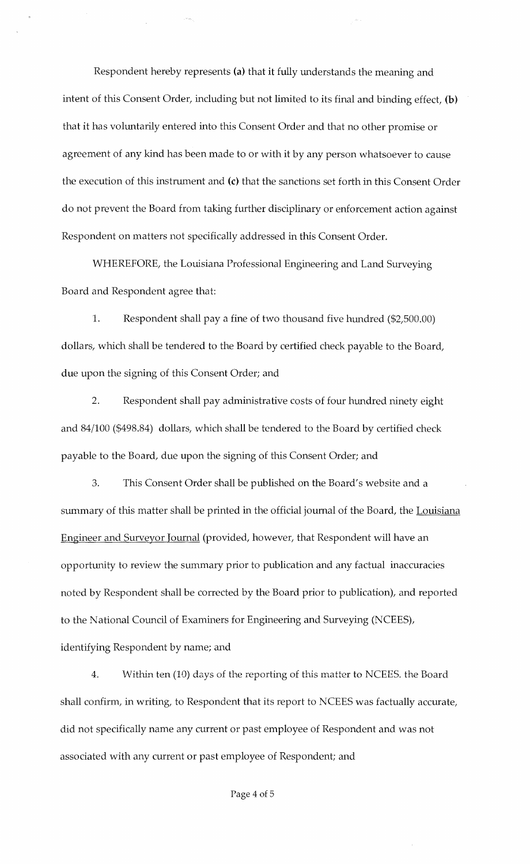Respondent hereby represents (a) that it fully understands the meaning and intent of this Consent Order, including but not limited to its final and binding effect, (b) that it has voluntarily entered into this Consent Order and that no other promise or agreement of any kind has been made to or with it by any person whatsoever to cause the execution of this instrument and (c) that the sanctions set forth in this Consent Order do not prevent the Board from taking further disciplinary or enforcement action against Respondent on matters not specifically addressed in this Consent Order.

WHEREFORE, the Louisiana Professional Engineering and Land Surveying Board and Respondent agree that:

1. Respondent shall pay a fine of two thousand five hundred (\$2,500.00) dollars, which shall be tendered to the Board by certified check payable to the Board, due upon the signing of this Consent Order; and

2. Respondent shall pay administrative costs of four hundred ninety eight and 84/100 (\$498.84) dollars, which shall be tendered to the Board by certified check payable to the Board, due upon the signing of this Consent Order; and

3. This Consent Order shall be published on the Board's website and a summary of this matter shall be printed in the official journal of the Board, the Louisiana Engineer and Surveyor Journal (provided, however, that Respondent will have an opportunity to review the summary prior to publication and any factual inaccuracies noted by Respondent shall be corrected by the Board prior to publication), and reported to the National Council of Examiners for Engineering and Surveying (NCEES), identifying Respondent by name; and

4. Within ten (10) days of the reporting of this matter to NCEES. the Board shall confirm, in writing, to Respondent that its report to NCEES was factually accurate, did not specifically name any current or past employee of Respondent and was not associated with any current or past employee of Respondent; and